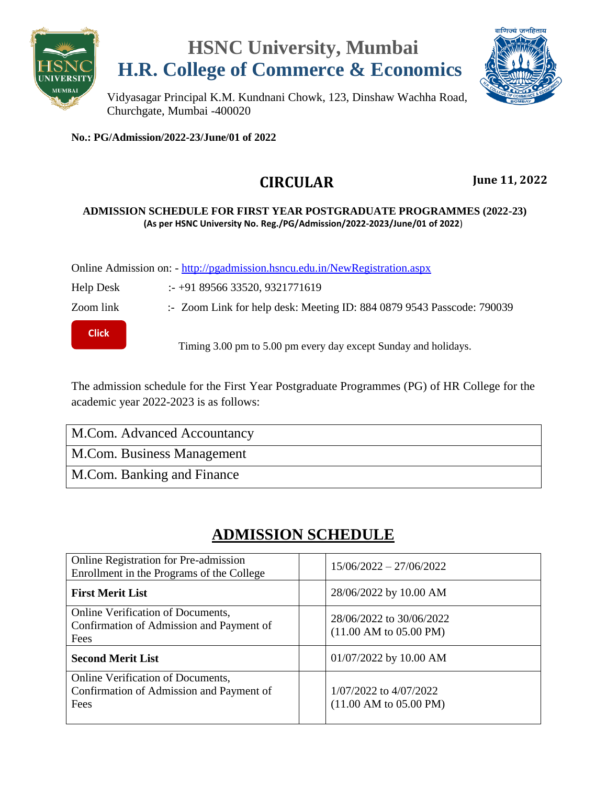

### **HSNC University, Mumbai H.R. College of Commerce & Economics**



Vidyasagar Principal K.M. Kundnani Chowk, 123, Dinshaw Wachha Road, Churchgate, Mumbai -400020

**No.: PG/Admission/2022-23/June/01 of 2022**

#### **CIRCULAR June 11, 2022**

#### **ADMISSION SCHEDULE FOR FIRST YEAR POSTGRADUATE PROGRAMMES (2022-23) (As per HSNC University No. Reg./PG/Admission/2022-2023/June/01 of 2022**)

Online Admission on: - <http://pgadmission.hsncu.edu.in/NewRegistration.aspx>

Help Desk :- +91 89566 33520, 9321771619

**[Click](https://us06web.zoom.us/u/kbm7eeO1NK)  here**

Zoom link :- Zoom Link for help desk: Meeting ID: 884 0879 9543 Passcode: 790039

Timing 3.00 pm to 5.00 pm every day except Sunday and holidays.

The admission schedule for the First Year Postgraduate Programmes (PG) of HR College for the academic year 2022-2023 is as follows:

M.Com. Advanced Accountancy

M.Com. Business Management

M.Com. Banking and Finance

#### **ADMISSION SCHEDULE**

| Online Registration for Pre-admission<br>Enrollment in the Programs of the College           | $15/06/2022 - 27/06/2022$                                             |
|----------------------------------------------------------------------------------------------|-----------------------------------------------------------------------|
| <b>First Merit List</b>                                                                      | 28/06/2022 by 10.00 AM                                                |
| Online Verification of Documents,<br>Confirmation of Admission and Payment of<br>Fees        | 28/06/2022 to 30/06/2022<br>$(11.00 \text{ AM to } 05.00 \text{ PM})$ |
| <b>Second Merit List</b>                                                                     | 01/07/2022 by 10.00 AM                                                |
| <b>Online Verification of Documents,</b><br>Confirmation of Admission and Payment of<br>Fees | 1/07/2022 to 4/07/2022<br>$(11.00 \text{ AM to } 05.00 \text{ PM})$   |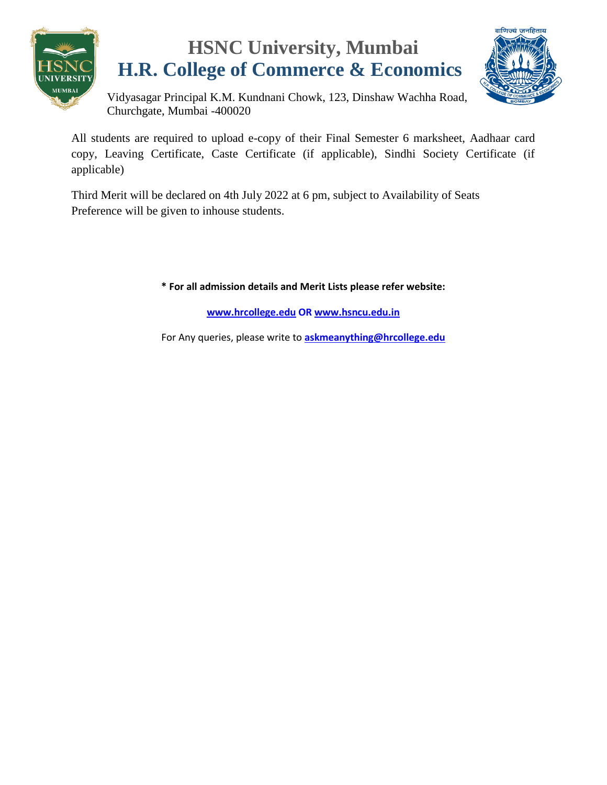

# **HSNC University, Mumbai H.R. College of Commerce & Economics**



Vidyasagar Principal K.M. Kundnani Chowk, 123, Dinshaw Wachha Road, Churchgate, Mumbai -400020

All students are required to upload e-copy of their Final Semester 6 marksheet, Aadhaar card copy, Leaving Certificate, Caste Certificate (if applicable), Sindhi Society Certificate (if applicable)

Third Merit will be declared on 4th July 2022 at 6 pm, subject to Availability of Seats Preference will be given to inhouse students.

**\* For all admission details and Merit Lists please refer website:**

**[www.hrcollege.edu](http://www.hrcollege.edu/) OR [www.hsncu.edu.in](http://www.hsncu.edu.in/)**

For Any queries, please write to **<askmeanything@hrcollege.edu>**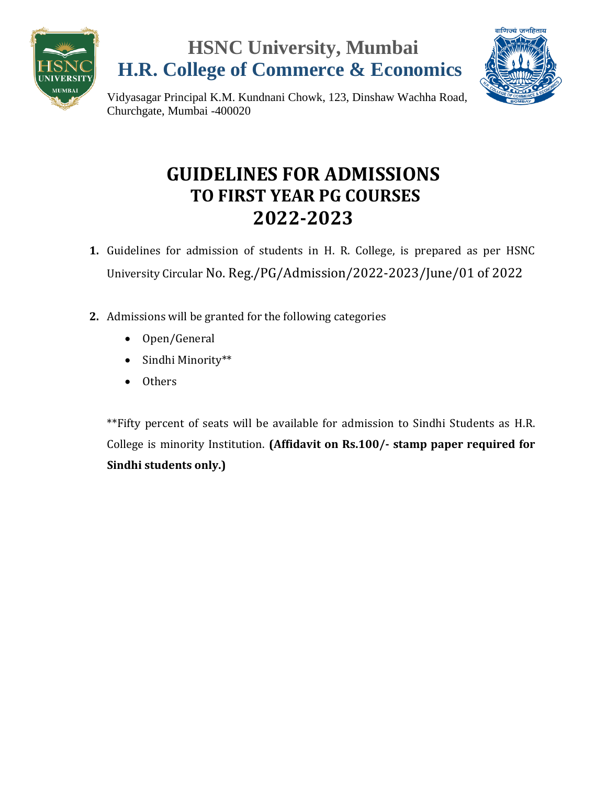





Vidyasagar Principal K.M. Kundnani Chowk, 123, Dinshaw Wachha Road, Churchgate, Mumbai -400020

## **GUIDELINES FOR ADMISSIONS TO FIRST YEAR PG COURSES 2022-2023**

- **1.** Guidelines for admission of students in H. R. College, is prepared as per HSNC University Circular No. Reg./PG/Admission/2022-2023/June/01 of 2022
- **2.** Admissions will be granted for the following categories
	- Open/General
	- Sindhi Minority\*\*
	- Others

\*\*Fifty percent of seats will be available for admission to Sindhi Students as H.R. College is minority Institution. **(Affidavit on Rs.100/- stamp paper required for Sindhi students only.)**